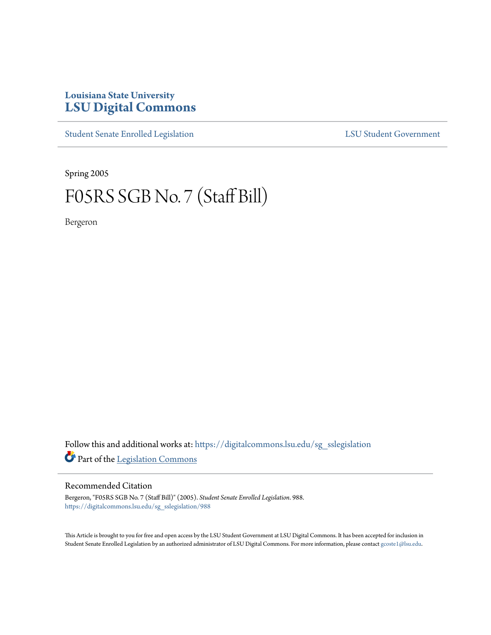# **Louisiana State University [LSU Digital Commons](https://digitalcommons.lsu.edu?utm_source=digitalcommons.lsu.edu%2Fsg_sslegislation%2F988&utm_medium=PDF&utm_campaign=PDFCoverPages)**

[Student Senate Enrolled Legislation](https://digitalcommons.lsu.edu/sg_sslegislation?utm_source=digitalcommons.lsu.edu%2Fsg_sslegislation%2F988&utm_medium=PDF&utm_campaign=PDFCoverPages) [LSU Student Government](https://digitalcommons.lsu.edu/sg?utm_source=digitalcommons.lsu.edu%2Fsg_sslegislation%2F988&utm_medium=PDF&utm_campaign=PDFCoverPages)

Spring 2005

# F05RS SGB No. 7 (Staff Bill)

Bergeron

Follow this and additional works at: [https://digitalcommons.lsu.edu/sg\\_sslegislation](https://digitalcommons.lsu.edu/sg_sslegislation?utm_source=digitalcommons.lsu.edu%2Fsg_sslegislation%2F988&utm_medium=PDF&utm_campaign=PDFCoverPages) Part of the [Legislation Commons](http://network.bepress.com/hgg/discipline/859?utm_source=digitalcommons.lsu.edu%2Fsg_sslegislation%2F988&utm_medium=PDF&utm_campaign=PDFCoverPages)

#### Recommended Citation

Bergeron, "F05RS SGB No. 7 (Staff Bill)" (2005). *Student Senate Enrolled Legislation*. 988. [https://digitalcommons.lsu.edu/sg\\_sslegislation/988](https://digitalcommons.lsu.edu/sg_sslegislation/988?utm_source=digitalcommons.lsu.edu%2Fsg_sslegislation%2F988&utm_medium=PDF&utm_campaign=PDFCoverPages)

This Article is brought to you for free and open access by the LSU Student Government at LSU Digital Commons. It has been accepted for inclusion in Student Senate Enrolled Legislation by an authorized administrator of LSU Digital Commons. For more information, please contact [gcoste1@lsu.edu.](mailto:gcoste1@lsu.edu)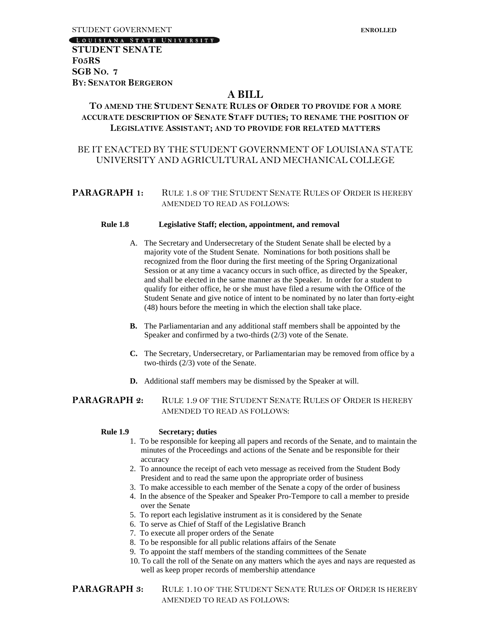LOUISIANA STATE UNIVERSITY

**STUDENT SENATE F05RS SGB NO. 7 BY: SENATOR BERGERON**

# **A BILL**

## **TO AMEND THE STUDENT SENATE RULES OF ORDER TO PROVIDE FOR A MORE ACCURATE DESCRIPTION OF SENATE STAFF DUTIES; TO RENAME THE POSITION OF LEGISLATIVE ASSISTANT; AND TO PROVIDE FOR RELATED MATTERS**

## BE IT ENACTED BY THE STUDENT GOVERNMENT OF LOUISIANA STATE UNIVERSITY AND AGRICULTURAL AND MECHANICAL COLLEGE

#### **PARAGRAPH 1:** RULE 1.8 OF THE STUDENT SENATE RULES OF ORDER IS HEREBY AMENDED TO READ AS FOLLOWS:

#### **Rule 1.8 Legislative Staff; election, appointment, and removal**

- A. The Secretary and Undersecretary of the Student Senate shall be elected by a majority vote of the Student Senate. Nominations for both positions shall be recognized from the floor during the first meeting of the Spring Organizational Session or at any time a vacancy occurs in such office, as directed by the Speaker, and shall be elected in the same manner as the Speaker. In order for a student to qualify for either office, he or she must have filed a resume with the Office of the Student Senate and give notice of intent to be nominated by no later than forty-eight (48) hours before the meeting in which the election shall take place.
- **B.** The Parliamentarian and any additional staff members shall be appointed by the Speaker and confirmed by a two-thirds (2/3) vote of the Senate.
- **C.** The Secretary, Undersecretary, or Parliamentarian may be removed from office by a two-thirds (2/3) vote of the Senate.
- **D.** Additional staff members may be dismissed by the Speaker at will.

#### **PARAGRAPH 2:** RULE 1.9 OF THE STUDENT SENATE RULES OF ORDER IS HEREBY AMENDED TO READ AS FOLLOWS:

#### **Rule 1.9 Secretary; duties**

- 1. To be responsible for keeping all papers and records of the Senate, and to maintain the minutes of the Proceedings and actions of the Senate and be responsible for their accuracy
- 2. To announce the receipt of each veto message as received from the Student Body President and to read the same upon the appropriate order of business
- 3. To make accessible to each member of the Senate a copy of the order of business
- 4. In the absence of the Speaker and Speaker Pro-Tempore to call a member to preside over the Senate
- 5. To report each legislative instrument as it is considered by the Senate
- 6. To serve as Chief of Staff of the Legislative Branch
- 7. To execute all proper orders of the Senate
- 8. To be responsible for all public relations affairs of the Senate
- 9. To appoint the staff members of the standing committees of the Senate
- 10. To call the roll of the Senate on any matters which the ayes and nays are requested as well as keep proper records of membership attendance
- **PARAGRAPH 3:** RULE 1.10 OF THE STUDENT SENATE RULES OF ORDER IS HEREBY AMENDED TO READ AS FOLLOWS: